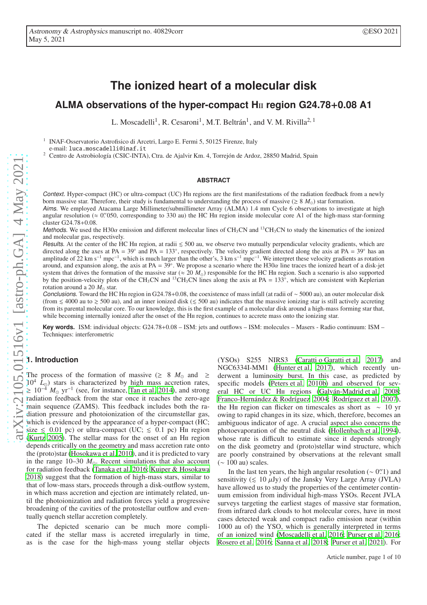# **The ionized heart of a molecular disk**

# **ALMA observations of the hyper-compact H**ii **region G24.78**+**0.08 A1**

L. Moscadelli<sup>1</sup>, R. Cesaroni<sup>1</sup>, M.T. Beltrán<sup>1</sup>, and V. M. Rivilla<sup>2, 1</sup>

1 INAF-Osservatorio Astrofisico di Arcetri, Largo E. Fermi 5, 50125 Firenze, Italy e-mail: luca.moscadelli@inaf.it

<sup>2</sup> Centro de Astrobiología (CSIC-INTA), Ctra. de Ajalvir Km. 4, Torrejón de Ardoz, 28850 Madrid, Spain

#### **ABSTRACT**

Context. Hyper-compact (HC) or ultra-compact (UC) Hii regions are the first manifestations of the radiation feedback from a newly born massive star. Therefore, their study is fundamental to understanding the process of massive ( $\geq 8$  *M*<sub>o</sub>) star formation.

Aims. We employed Atacama Large Millimeter/submillimeter Array (ALMA) 1.4 mm Cycle 6 observations to investigate at high angular resolution ( $\approx 0$ . 0.′ 050, corresponding to 330 au) the HC H<sub>II</sub> region inside molecular core A1 of the high-mass star-forming cluster G24.78+0.08.

Methods. We used the H30 $\alpha$  emission and different molecular lines of CH<sub>3</sub>CN and <sup>13</sup>CH<sub>3</sub>CN to study the kinematics of the ionized and molecular gas, respectively.

Results. At the center of the HC HII region, at radii  $\leq 500$  au, we observe two mutually perpendicular velocity gradients, which are directed along the axes at PA =  $39^\circ$  and PA =  $133^\circ$ directed along the axes at PA =  $39^\circ$  and PA =  $133^\circ$ , respectively. The velocity gradient directed along the axis at PA =  $39^\circ$  has an amplitude of  $22 \text{ km s}^{-1} \text{ mpc}^{-1}$ , which is much larger than the other's, 3 km s<sup>-1</sup> mpc<sup>-1</sup>. We interpret these velocity gradients as rotation around, and expansion along, the axis at PA =  $39^\circ$ around, and expansion along, the axis at PA =  $39^{\circ}$ . We propose a scenario where the H30 $\alpha$  line traces the ionized heart of a disk-jet system that drives the formation of the massive star (≈ 20  $M_{\odot}$ ) responsible for the HC H<sub>II</sub> region. Such a scenario is also supported by the position-velocity plots of the CH<sub>3</sub>CN and <sup>13</sup>CH<sub>3</sub>CN lines along the axis at PA =  $133^\circ$ , which are consistent with Keplerian rotation around a 20 *M*<sup>⊙</sup> star.

Conclusions. Toward the HC Hu region in G24.78+0.08, the coexistence of mass infall (at radii of ∼ 5000 au), an outer molecular disk (from  $\leq 4000$  au to  $\geq 500$  au), and an inner ionized disk ( $\leq 500$  au) indicates that the massive ionizing star is still actively accreting from its parental molecular core. To our knowledge, this is the first example of a molecular disk around a high-mass forming star that, while becoming internally ionized after the onset of the H<sub>II</sub> region, continues to accrete mass onto the ionizing star.

**Key words.** ISM: individual objects: G24.78+0.08 – ISM: jets and outflows – ISM: molecules – Masers - Radio continuum: ISM – Techniques: interferometric

# **1. Introduction**

The process of the formation of massive ( $\geq$  8  $M_{\odot}$  and  $\geq$  $10^4$   $\tilde{L}_{\odot}$ ) stars is characterized by high mass accretion rates,  $\geq 10^{-4}$  *M*<sub>☉</sub> yr<sup>-1</sup> (see, for instance, [Tan et al. 2014\)](#page-9-0), and strong radiation feedback from the star once it reaches the zero-age main sequence (ZAMS). This feedback includes both the radiation pressure and photoionization of the circumstellar gas, which is evidenced by the appearance of a hyper-compact (HC; size  $\leq 0.01$  pc) or ultra-compact (UC;  $\leq 0.1$  pc) H<sub>II</sub> region [\(Kurtz 2005\)](#page-9-1). The stellar mass for the onset of an Hii region depends critically on the geometry and mass accretion rate onto the (proto)star [\(Hosokawa et al. 2010\)](#page-9-2), and it is predicted to vary in the range 10–30  $M_{\odot}$ . Recent simulations that also account for radiation feedback [\(Tanaka et al. 2016;](#page-9-3) [Kuiper & Hosokawa](#page-9-4) [2018\)](#page-9-4) suggest that the formation of high-mass stars, similar to that of low-mass stars, proceeds through a disk-outflow system, in which mass accretion and ejection are intimately related, until the photoionization and radiation forces yield a progressive broadening of the cavities of the protostellar outflow and eventually quench stellar accretion completely.

The depicted scenario can be much more complicated if the stellar mass is accreted irregularly in time, as is the case for the high-mass young stellar objects

(YSOs) S255 NIRS3 [\(Caratti o Garatti et al. 2017\)](#page-9-5) and NGC6334I-MM1 [\(Hunter et al. 2017\)](#page-9-6), which recently underwent a luminosity burst. In this case, as predicted by specific models [\(Peters et al. 2010b](#page-9-7)) and observed for sev-eral HC or UC H<sub>II</sub> regions [\(Galván-Madrid et al. 2008;](#page-9-8) [Franco-Hernández & Rodríguez 2004;](#page-9-9) [Rodríguez et al. 2007\)](#page-9-10), the H<sub>II</sub> region can flicker on timescales as short as  $\sim 10$  yr owing to rapid changes in its size, which, therefore, becomes an ambiguous indicator of age. A crucial aspect also concerns the photoevaporation of the neutral disk [\(Hollenbach et al. 1994\)](#page-9-11), whose rate is difficult to estimate since it depends strongly on the disk geometry and (proto)stellar wind structure, which are poorly constrained by observations at the relevant small  $(~ 100 \text{ au})$  scales.

In the last ten years, the high angular resolution  $($  ~ 0".<sup>2</sup> and sensitivity ( $\leq 10 \mu Jy$ ) of the Jansky Very Large Array (JVLA) have allowed us to study the properties of the centimeter continuum emission from individual high-mass YSOs. Recent JVLA surveys targeting the earliest stages of massive star formation, from infrared dark clouds to hot molecular cores, have in most cases detected weak and compact radio emission near (within 1000 au of) the YSO, which is generally interpreted in terms of an ionized wind [\(Moscadelli et al. 2016](#page-9-12); [Purser et al. 2016;](#page-9-13) [Rosero et al. 2016;](#page-9-14) [Sanna et al. 2018;](#page-9-15) [Purser et al. 2021\)](#page-9-16). For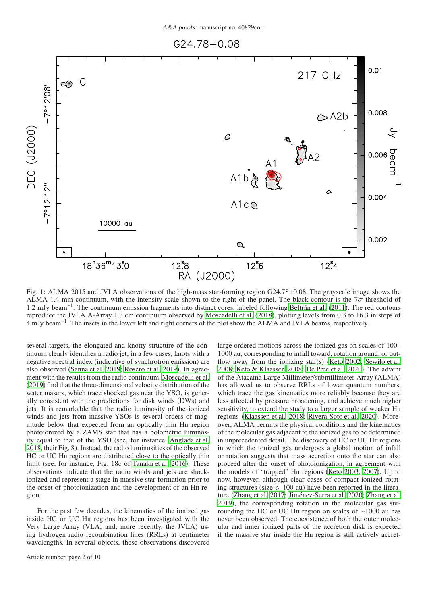<span id="page-1-0"></span>

Fig. 1: ALMA 2015 and JVLA observations of the high-mass star-forming region G24.78+0.08. The grayscale image shows the ALMA 1.4 mm continuum, with the intensity scale shown to the right of the panel. The black contour is the  $7\sigma$  threshold of 1.2 mJy beam−<sup>1</sup> . The continuum emission fragments into distinct cores, labeled following [Beltrán et al. \(2011](#page-9-17)). The red contours reproduce the JVLA A-Array 1.3 cm continuum observed by [Moscadelli et al. \(2018](#page-9-18)), plotting levels from 0.3 to 16.3 in steps of 4 mJy beam−<sup>1</sup> . The insets in the lower left and right corners of the plot show the ALMA and JVLA beams, respectively.

several targets, the elongated and knotty structure of the continuum clearly identifies a radio jet; in a few cases, knots with a negative spectral index (indicative of synchrotron emission) are also observed [\(Sanna et al. 2019;](#page-9-19) [Rosero et al. 2019\)](#page-9-20). In agreement with the results from the radio continuum, [Moscadelli et al.](#page-9-21) [\(2019](#page-9-21)) find that the three-dimensional velocity distribution of the water masers, which trace shocked gas near the YSO, is generally consistent with the predictions for disk winds (DWs) and jets. It is remarkable that the radio luminosity of the ionized winds and jets from massive YSOs is several orders of magnitude below that expected from an optically thin H<sub>II</sub> region photoionized by a ZAMS star that has a bolometric luminosity equal to that of the YSO (see, for instance, [Anglada et al.](#page-9-22) [2018,](#page-9-22) their Fig. 8). Instead, the radio luminosities of the observed HC or UC H<sub>II</sub> regions are distributed close to the optically thin limit (see, for instance, Fig. 18c of [Tanaka et al. 2016\)](#page-9-3). These observations indicate that the radio winds and jets are shockionized and represent a stage in massive star formation prior to the onset of photoionization and the development of an Hii region.

For the past few decades, the kinematics of the ionized gas inside HC or UC Hii regions has been investigated with the Very Large Array (VLA; and, more recently, the JVLA) using hydrogen radio recombination lines (RRLs) at centimeter wavelengths. In several objects, these observations discovered large ordered motions across the ionized gas on scales of 100– 1000 au, corresponding to infall toward, rotation around, or out-flow away from the ionizing star(s) [\(Keto 2002](#page-9-23); [Sewiło et al.](#page-9-24) [2008;](#page-9-24) [Keto & Klaassen 2008;](#page-9-25) [De Pree et al. 2020\)](#page-9-26). The advent of the Atacama Large Millimeter/submillimeter Array (ALMA) has allowed us to observe RRLs of lower quantum numbers, which trace the gas kinematics more reliably because they are less affected by pressure broadening, and achieve much higher sensitivity, to extend the study to a larger sample of weaker H<sub>II</sub> regions [\(Klaassen et al. 2018;](#page-9-27) [Rivera-Soto et al. 2020\)](#page-9-28). Moreover, ALMA permits the physical conditions and the kinematics of the molecular gas adjacent to the ionized gas to be determined in unprecedented detail. The discovery of HC or UC Hii regions in which the ionized gas undergoes a global motion of infall or rotation suggests that mass accretion onto the star can also proceed after the onset of photoionization, in agreement with the models of "trapped" Hii regions [\(Keto 2003,](#page-9-29) [2007\)](#page-9-30). Up to now, however, although clear cases of compact ionized rotating structures (size  $\leq 100$  au) have been reported in the literature [\(Zhang et al. 2017;](#page-9-31) [Jiménez-Serra et al. 2020;](#page-9-32) [Zhang et al.](#page-9-33) [2019\)](#page-9-33), the corresponding rotation in the molecular gas surrounding the HC or UC Hii region on scales of ∼1000 au has never been observed. The coexistence of both the outer molecular and inner ionized parts of the accretion disk is expected if the massive star inside the Hii region is still actively accret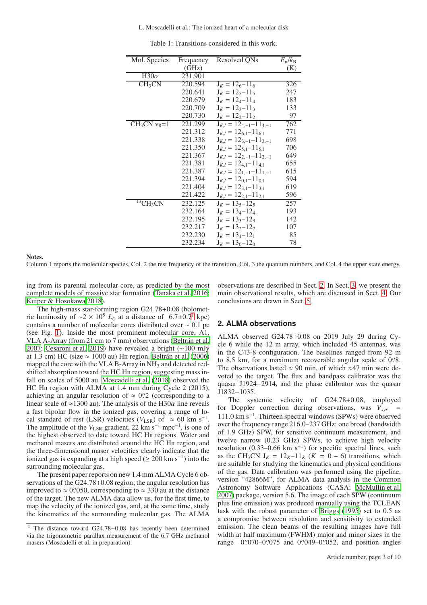L. Moscadelli et al.: The ionized heart of a molecular disk

<span id="page-2-2"></span>

| Mol. Species           | Frequency | Resolved QNs                    | $E_{\rm u}/k_{\rm B}$ |
|------------------------|-----------|---------------------------------|-----------------------|
|                        | (GHz)     |                                 | (K)                   |
|                        |           |                                 |                       |
| $\overline{H30\alpha}$ | 231.901   |                                 |                       |
| CH <sub>3</sub> CN     | 220.594   | $J_K = 126 - 116$               | 326                   |
|                        | 220.641   | $J_K = 12_5 - 11_5$             | 247                   |
|                        | 220.679   | $J_K = 12_4 - 11_4$             | 183                   |
|                        | 220.709   | $J_K = 12_3 - 11_3$             | 133                   |
|                        | 220.730   | $J_K = 122 - 112$               | 97                    |
| $CH3CN$ $v8=1$         | 221.299   | $J_{K,l} = 12_{4,-1}-11_{4,-1}$ | 762                   |
|                        | 221.312   | $J_{K,l} = 12_{6,1} - 11_{6,1}$ | 771                   |
|                        | 221.338   | $J_{K,l} = 12_{3,-1}-11_{3,-1}$ | 698                   |
|                        | 221.350   | $J_{K,l} = 12_{5,1} - 11_{5,1}$ | 706                   |
|                        | 221.367   | $J_{K,l} = 12_{2,-1}-11_{2,-1}$ | 649                   |
|                        | 221.381   | $J_{K,l} = 12_{4,1} - 11_{4,1}$ | 655                   |
|                        | 221.387   | $J_{K,l} = 12_{1,-1}-11_{1,-1}$ | 615                   |
|                        | 221.394   | $J_{K,l} = 12_{0,1} - 11_{0,1}$ | 594                   |
|                        | 221.404   | $J_{K,l} = 12_{3,1} - 11_{3,1}$ | 619                   |
|                        | 221.422   | $J_{K,l} = 12_{2,1} - 11_{2,1}$ | 596                   |
| $^{13}CH3CN$           | 232.125   | $J_K = 135 - 125$               | 257                   |
|                        | 232.164   | $J_K = 13_4 - 12_4$             | 193                   |
|                        | 232.195   | $J_K = 13_3 - 12_3$             | 142                   |
|                        | 232.217   | $J_K = 13_2 - 12_2$             | 107                   |
|                        | 232.230   | $J_K = 13_1 - 12_1$             | 85                    |
|                        | 232.234   | $J_K = 13_0 - 12_0$             | 78                    |

Table 1: Transitions considered in this work.

#### Notes.

Column 1 reports the molecular species, Col. 2 the rest frequency of the transition, Col. 3 the quantum numbers, and Col. 4 the upper state energy.

ing from its parental molecular core, as predicted by the most complete models of massive star formation [\(Tanaka et al. 2016](#page-9-3); [Kuiper & Hosokawa 2018\)](#page-9-4).

The high-mass star-forming region G24.78+0.08 (bolomet-ric luminosity of ~2 × [1](#page-2-0)0<sup>5</sup>  $L_{\odot}$  at a distance of 6.7±0.7<sup>1</sup> kpc) contains a number of molecular cores distributed over ∼ 0.1 pc (see Fig. [1\)](#page-1-0). Inside the most prominent molecular core, A1, VLA A-Array (from 21 cm to 7 mm) observations [\(Beltrán et al.](#page-9-34) [2007;](#page-9-34) [Cesaroni et al. 2019\)](#page-9-35) have revealed a bright (∼100 mJy at 1.3 cm) HC (size  $\approx 1000$  au) H<sub>II</sub> region. [Beltrán et al.](#page-9-36) [\(2006\)](#page-9-36) mapped the core with the VLA B-Array in  $NH_3$  and detected redshifted absorption toward the HC HII region, suggesting mass infall on scales of 5000 au. [Moscadelli et al.](#page-9-18) [\(2018\)](#page-9-18) observed the HC HII region with ALMA at 1.4 mm during Cycle 2 (2015), achieving an angular resolution of  $\approx 0$ ". (corresponding to a linear scale of ≈1300 au). The analysis of the H30 $\alpha$  line reveals a fast bipolar flow in the ionized gas, covering a range of local standard of rest (LSR) velocities ( $V_{\text{LSR}}$ ) of  $\approx 60 \text{ km s}^{-1}$ . The amplitude of the  $V_{LSR}$  gradient, 22 km s<sup>-1</sup> mpc<sup>-1</sup>, is one of the highest observed to date toward HC Hii regions. Water and methanol masers are distributed around the HC Hii region, and the three-dimensional maser velocities clearly indicate that the ionized gas is expanding at a high speed ( $\geq 200$  km s<sup>-1</sup>) into the surrounding molecular gas.

The present paper reports on new 1.4 mm ALMA Cycle 6 observations of the G24.78+0.08 region; the angular resolution has improved to  $\approx 0$  ″ 050, corresponding to  $\approx 330$  au at the distance of the target. The new ALMA data allow us, for the first time, to map the velocity of the ionized gas, and, at the same time, study the kinematics of the surrounding molecular gas. The ALMA observations are described in Sect. [2.](#page-2-1) In Sect. [3,](#page-5-0) we present the main observational results, which are discussed in Sect. [4.](#page-5-1) Our conclusions are drawn in Sect. [5.](#page-9-37)

# <span id="page-2-1"></span>**2. ALMA observations**

ALMA observed G24.78+0.08 on 2019 July 29 during Cycle 6 while the 12 m array, which included 45 antennas, was in the C43-8 configuration. The baselines ranged from 92 m to 8.5 km, for a maximum recoverable angular scale of 0".8. The observations lasted  $\approx 90$  min, of which  $\approx 47$  min were devoted to the target. The flux and bandpass calibrator was the quasar J1924−2914, and the phase calibrator was the quasar J1832−1035.

The systemic velocity of G24.78+0.08, employed for Doppler correction during observations, was *Vsys* = 111.0 km s−<sup>1</sup> . Thirteen spectral windows (SPWs) were observed over the frequency range 216.0–237 GHz: one broad (bandwidth of 1.9 GHz) SPW, for sensitive continuum measurement, and twelve narrow (0.23 GHz) SPWs, to achieve high velocity resolution  $(0.33-0.66 \text{ km s}^{-1})$  for specific spectral lines, such as the CH<sub>3</sub>CN  $J_K = 12_K - 11_K$  ( $K = 0 - 6$ ) transitions, which are suitable for studying the kinematics and physical conditions of the gas. Data calibration was performed using the pipeline, version "42866M", for ALMA data analysis in the Common Astronomy Software Applications (CASA; [McMullin et al.](#page-9-38) [2007\)](#page-9-38) package, version 5.6. The image of each SPW (continuum plus line emission) was produced manually using the TCLEAN task with the robust parameter of [Briggs](#page-9-39) [\(1995\)](#page-9-39) set to 0.5 as a compromise between resolution and sensitivity to extended emission. The clean beams of the resulting images have full width at half maximum (FWHM) major and minor sizes in the range 0''070-0''075 and 0''049-0''052, and position angles

<span id="page-2-0"></span>The distance toward G24.78+0.08 has recently been determined via the trigonometric parallax measurement of the 6.7 GHz methanol masers (Moscadelli et al, in preparation).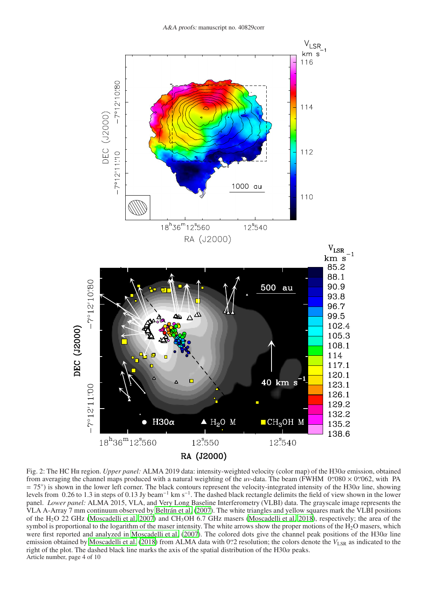<span id="page-3-0"></span>

Fig. 2: The HC Hii region. *Upper panel:* ALMA 2019 data: intensity-weighted velocity (color map) of the H30α emission, obtained from averaging the channel maps produced with a natural weighting of the *uv*-data. The beam (FWHM  $0$ <sup>'</sup> $080 \times 0$ <sup>'</sup> $062$ , with PA  $= 75^{\circ}$ ) is shown in the lower left corner. The black contours represent the velocity-integrated intensity of the H30 $\alpha$  line, showing levels from 0.26 to 1.3 in steps of 0.13 Jy beam<sup>-1</sup> km s<sup>-1</sup>. The dashed black rectangle delimits the field of view shown in the lower panel. *Lower panel:* ALMA 2015, VLA, and Very Long Baseline Interferometry (VLBI) data. The grayscale image represents the VLA A-Array 7 mm continuum observed by [Beltrán et al.](#page-9-34) [\(2007\)](#page-9-34). The white triangles and yellow squares mark the VLBI positions of the H<sub>2</sub>O 22 GHz [\(Moscadelli et al. 2007](#page-9-40)) and CH<sub>3</sub>OH 6.7 GHz masers [\(Moscadelli et al. 2018\)](#page-9-18), respectively; the area of the symbol is proportional to the logarithm of the maser intensity. The white arrows show the proper motions of the  $H_2O$  masers, which were first reported and analyzed in [Moscadelli et al. \(2007\)](#page-9-40). The colored dots give the channel peak positions of the H30 $\alpha$  line emission obtained by [Moscadelli et al. \(2018\)](#page-9-18) from ALMA data with 0<sup>'</sup>. Pesolution; the colors denote the  $V_{\rm LSR}$  as indicated to the right of the plot. The dashed black line marks the axis of the spatial distribution of the H30 $\alpha$  peaks. Article number, page 4 of 10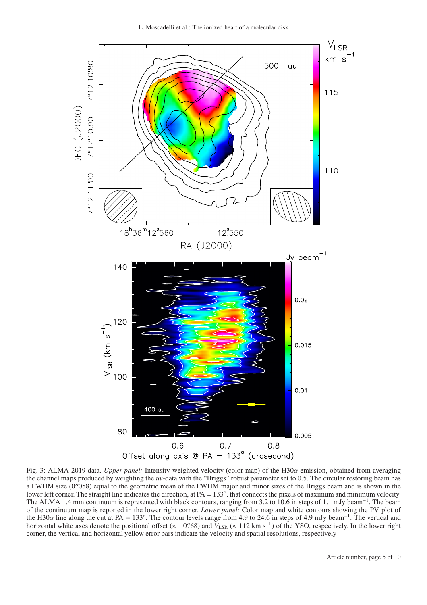L. Moscadelli et al.: The ionized heart of a molecular disk

<span id="page-4-0"></span>

Fig. 3: ALMA 2019 data. *Upper panel:* Intensity-weighted velocity (color map) of the H30α emission, obtained from averaging the channel maps produced by weighting the *uv*-data with the "Briggs" robust parameter set to 0.5. The circular restoring beam has a FWHM size (0''058) equal to the geometric mean of the FWHM major and minor sizes of the Briggs beam and is shown in the lower left corner. The straight line indicates the direction, at PA = 133°, that connects the pixels of maximum and minimum velocity. The ALMA 1.4 mm continuum is represented with black contours, ranging from 3.2 to 10.6 in steps of 1.1 mJy beam<sup>-1</sup>. The beam of the continuum map is reported in the lower right corner. *Lower panel:* Color map and white contours showing the PV plot of the H30 $\alpha$  line along the cut at PA = 133°. The contour levels range from 4.9 to 24.6 in steps of 4.9 mJy beam<sup>-1</sup>. The vertical and horizontal white axes denote the positional offset (≈ -0''68) and  $V_{LSR}$  (≈ 112 km s<sup>-1</sup>) of the YSO, respectively. In the lower right corner, the vertical and horizontal yellow error bars indicate the velocity and spatial resolutions, respectively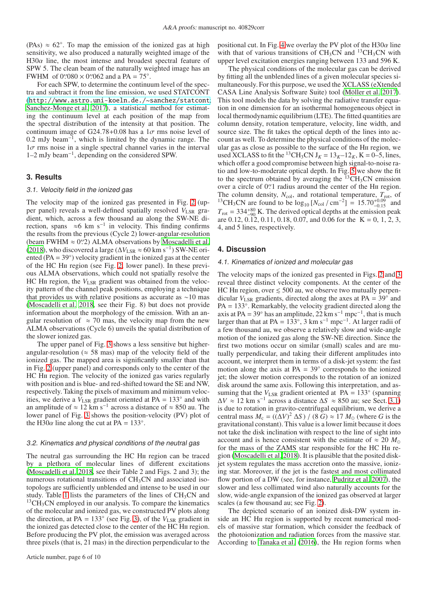(PAs)  $\approx 62^\circ$ . To map the emission of the ionized gas at high sensitivity, we also produced a naturally weighted image of the H30 $\alpha$  line, the most intense and broadest spectral feature of SPW 5. The clean beam of the naturally weighted image has an FWHM of  $0\text{\textdegree}{'}080 \times 0\text{\textdegree}{'}062$  and a PA = 75°.

For each SPW, to determine the continuum level of the spectra and subtract it from the line emission, we used STATCONT (<http://www.astro.uni-koeln.de./~sanchez/statcont>; [Sanchez-Monge et al. 2017\)](#page-9-41), a statistical method for estimating the continuum level at each position of the map from the spectral distribution of the intensity at that position. The continuum image of G24.78+0.08 has a  $1\sigma$  rms noise level of 0.2 mJy beam<sup>-1</sup>, which is limited by the dynamic range. The  $1\sigma$  rms noise in a single spectral channel varies in the interval 1–2 mJy beam−<sup>1</sup> , depending on the considered SPW.

# <span id="page-5-2"></span><span id="page-5-0"></span>**3. Results**

#### 3.1. Velocity field in the ionized gas

The velocity map of the ionized gas presented in Fig. [2](#page-3-0) (upper panel) reveals a well-defined spatially resolved  $V_{LSR}$  gradient, which, across a few thousand au along the SW-NE direction, spans  $\approx 6$  km s<sup>-1</sup> in velocity. This finding confirms the results from the previous (Cycle 2) lower-angular-resolution (beam FWHM  $\approx$  0'.2) ALMA observations by [Moscadelli et al.](#page-9-18) [\(2018](#page-9-18)), who discovered a large ( $\Delta V_{\rm LSR} \approx 60$  km s<sup>-1</sup>) SW-NE oriented  $(PA = 39°)$  velocity gradient in the ionized gas at the center of the HC Hii region (see Fig. [2,](#page-3-0) lower panel). In these previous ALMA observations, which could not spatially resolve the HC H<sub>II</sub> region, the *V*<sub>LSR</sub> gradient was obtained from the velocity pattern of the channel peak positions, employing a technique that provides us with relative positions as accurate as ∼10 mas [\(Moscadelli et al. 2018](#page-9-18), see their Fig. 8) but does not provide information about the morphology of the emission. With an angular resolution of  $\approx$  70 mas, the velocity map from the new ALMA observations (Cycle 6) unveils the spatial distribution of the slower ionized gas.

The upper panel of Fig. [3](#page-4-0) shows a less sensitive but higherangular-resolution ( $\approx$  58 mas) map of the velocity field of the ionized gas. The mapped area is significantly smaller than that in Fig. [2](#page-3-0) (upper panel) and corresponds only to the center of the HC H<sub>II</sub> region. The velocity of the ionized gas varies regularly with position and is blue- and red-shifted toward the SE and NW, respectively. Taking the pixels of maximum and minimum velocities, we derive a  $V_{LSR}$  gradient oriented at PA = 133 $^{\circ}$  and with an amplitude of  $\approx 12 \text{ km s}^{-1}$  across a distance of  $\approx 850$  au. The lower panel of Fig. [3](#page-4-0) shows the position-velocity (PV) plot of the H30 $\alpha$  line along the cut at PA = 133°.

# <span id="page-5-3"></span>3.2. Kinematics and physical conditions of the neutral gas

The neutral gas surrounding the HC H<sub>II</sub> region can be traced by a plethora of molecular lines of different excitations [\(Moscadelli et al. 2018,](#page-9-18) see their Table 2 and Figs. 2 and 3); the numerous rotational transitions of  $CH<sub>3</sub>CN$  and associated isotopologs are sufficiently unblended and intense to be used in our study. Table [1](#page-2-2) lists the parameters of the lines of  $CH<sub>3</sub>CN$  and  $13CH<sub>3</sub>CN$  employed in our analysis. To compare the kinematics of the molecular and ionized gas, we constructed PV plots along the direction, at PA =  $133^\circ$  (see Fig. [3\)](#page-4-0), of the  $V_{LSR}$  gradient in the ionized gas detected close to the center of the HC HII region. Before producing the PV plot, the emission was averaged across three pixels (that is, 21 mas) in the direction perpendicular to the positional cut. In Fig. [4](#page-6-0) we overlay the PV plot of the H30 $\alpha$  line with that of various transitions of  $CH<sub>3</sub>CN$  and  $^{13}CH<sub>3</sub>CN$  with upper level excitation energies ranging between 133 and 596 K.

The physical conditions of the molecular gas can be derived by fitting all the unblended lines of a given molecular species simultaneously. For this purpose, we used the XCLASS (eXtended CASA Line Analysis Software Suite) tool [\(Möller et al. 2017\)](#page-9-42). This tool models the data by solving the radiative transfer equation in one dimension for an isothermal homogeneous object in local thermodynamic equilibrium (LTE). The fitted quantities are column density, rotation temperature, velocity, line width, and source size. The fit takes the optical depth of the lines into account as well. To determine the physical conditions of the molecular gas as close as possible to the surface of the Hii region, we used XCLASS to fit the <sup>13</sup>CH<sub>3</sub>CN J<sub>K</sub> =  $13<sub>K</sub>$ -12<sub>K</sub>, K = 0-5, lines, which offer a good compromise between high signal-to-noise ratio and low-to-moderate optical depth. In Fig. [5](#page-7-0) we show the fit to the spectrum obtained by averaging the  $^{13}CH_3CN$  emission over a circle of 0".1 radius around the center of the HII region. The column density,  $N_{\text{col}}$ , and rotational temperature,  $T_{\text{rot}}$ , of <sup>13</sup>CH<sub>3</sub>CN are found to be  $\log_{10}$  [ $N_{\text{col}}$  / cm<sup>-2</sup>] = 15.70<sup>+0.09</sup> and  $T_{\text{rot}} = 334_{-90}^{+80}$  K. The derived optical depths at the emission peak are 0.12,  $0.\overline{12}$ , 0.11, 0.18, 0.07, and 0.06 for the K = 0, 1, 2, 3, 4, and 5 lines, respectively.

#### <span id="page-5-1"></span>**4. Discussion**

#### 4.1. Kinematics of ionized and molecular gas

The velocity maps of the ionized gas presented in Figs. [2](#page-3-0) and [3](#page-4-0) reveal three distinct velocity components. At the center of the HC HII region, over  $\leq 500$  au, we observe two mutually perpendicular  $V_{LSR}$  gradients, directed along the axes at PA =  $39^\circ$  and  $PA = 133^\circ$ . Remarkably, the velocity gradient directed along the axis at PA = 39° has an amplitude, 22 km s<sup>-1</sup> mpc<sup>-1</sup>, that is much larger than that at PA =  $133^\circ$ , 3 km s<sup>-1</sup> mpc<sup>-1</sup>. At larger radii of a few thousand au, we observe a relatively slow and wide-angle motion of the ionized gas along the SW-NE direction. Since the first two motions occur on similar (small) scales and are mutually perpendicular, and taking their different amplitudes into account, we interpret them in terms of a disk-jet system: the fast motion along the axis at PA =  $39^\circ$  corresponds to the ionized jet; the slower motion corresponds to the rotation of an ionized disk around the same axis. Following this interpretation, and assuming that the  $V_{LSR}$  gradient oriented at PA = 133 $^{\circ}$  (spanning  $\Delta V \approx 12$  km s<sup>-1</sup> across a distance  $\Delta S \approx 850$  au; see Sect. [3.1\)](#page-5-2) is due to rotation in gravito-centrifugal equilibrium, we derive a central mass  $M_c = ((\Delta V)^2 \Delta S) / (8 \tilde{G}) \approx 17 M_{\odot}$  (where *G* is the gravitational constant). This value is a lower limit because it does not take the disk inclination with respect to the line of sight into account and is hence consistent with the estimate of  $\approx 20 M_{\odot}$ for the mass of the ZAMS star responsible for the HC HII region [\(Moscadelli et al. 2018\)](#page-9-18). It is plausible that the posited diskjet system regulates the mass accretion onto the massive, ionizing star. Moreover, if the jet is the fastest and most collimated flow portion of a DW (see, for instance, [Pudritz et al. 2007\)](#page-9-43), the slower and less collimated wind also naturally accounts for the slow, wide-angle expansion of the ionized gas observed at larger scales (a few thousand au; see Fig. [2\)](#page-3-0).

The depicted scenario of an ionized disk-DW system inside an HC HII region is supported by recent numerical models of massive star formation, which consider the feedback of the photoionization and radiation forces from the massive star. According to [Tanaka et al.](#page-9-3) [\(2016\)](#page-9-3), the H<sub>II</sub> region forms when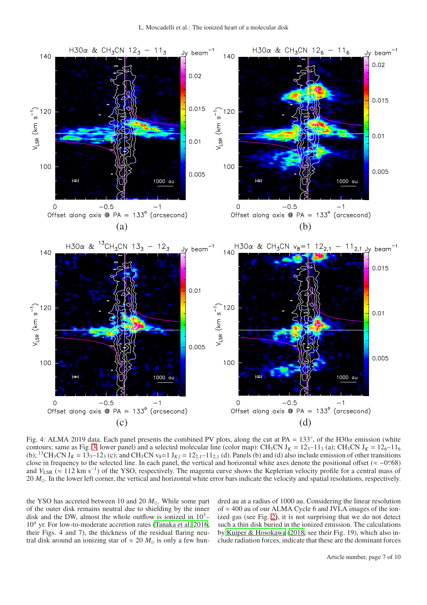<span id="page-6-0"></span>

Fig. 4: ALMA 2019 data. Each panel presents the combined PV plots, along the cut at PA =  $133^\circ$ , of the H30 $\alpha$  emission (white contours; same as Fig. [3,](#page-4-0) lower panel) and a selected molecular line (color map): CH<sub>3</sub>CN J<sub>K</sub> =  $12<sub>3</sub>$ -11<sub>3</sub> (a); CH<sub>3</sub>CN J<sub>K</sub> =  $12<sub>6</sub>$ -11<sub>6</sub> (b); <sup>13</sup>CH<sub>3</sub>CN J<sub>K</sub> = 13<sub>3</sub>-12<sub>3</sub> (c); and CH<sub>3</sub>CN v<sub>8</sub>=1 J<sub>K,*l*</sub> = 12<sub>2,1</sub>-11<sub>2,1</sub> (d). Panels (b) and (d) also include emission of other transitions close in frequency to the selected line. In each panel, the vertical and horizontal white axes denote the positional offset ( $\approx -0$ ''68) and *V*<sub>LSR</sub> (≈ 112 km s<sup>-1</sup>) of the YSO, respectively. The magenta curve shows the Keplerian velocity profile for a central mass of 20 *M*⊙. In the lower left corner, the vertical and horizontal white error bars indicate the velocity and spatial resolutions, respectively.

the YSO has accreted between 10 and 20  $M_{\odot}$ . While some part of the outer disk remains neutral due to shielding by the inner disk and the DW, almost the whole outflow is ionized in  $10^3$ –  $10<sup>4</sup>$  yr. For low-to-moderate accretion rates [\(Tanaka et al. 2016,](#page-9-3) their Figs. 4 and 7), the thickness of the residual flaring neutral disk around an ionizing star of  $\approx 20$   $M_{\odot}$  is only a few hundred au at a radius of 1000 au. Considering the linear resolution of  $\approx$  400 au of our ALMA Cycle 6 and JVLA images of the ionized gas (see Fig. [2\)](#page-3-0), it is not surprising that we do not detect such a thin disk buried in the ionized emission. The calculations by [Kuiper & Hosokawa \(2018,](#page-9-4) see their Fig. 19), which also include radiation forces, indicate that these are the dominant forces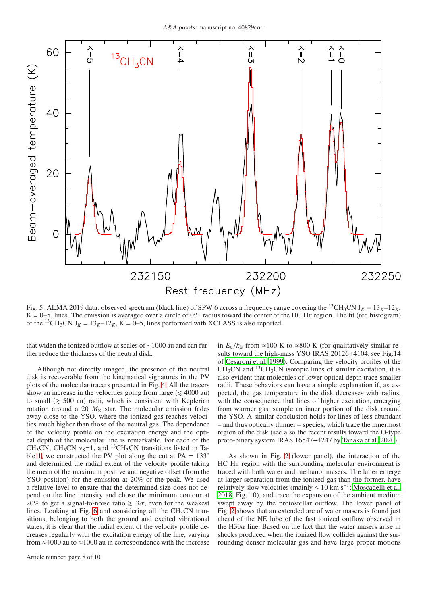<span id="page-7-0"></span>

Fig. 5: ALMA 2019 data: observed spectrum (black line) of SPW 6 across a frequency range covering the <sup>13</sup>CH<sub>3</sub>CN J<sub>K</sub> =  $13_K-12_K$ ,  $K = 0-5$ , lines. The emission is averaged over a circle of 0'' radius toward the center of the HC H<sub>II</sub> region. The fit (red histogram) of the <sup>13</sup>CH<sub>3</sub>CN J<sub>K</sub> =  $13_K - 12_K$ , K = 0–5, lines performed with XCLASS is also reported.

that widen the ionized outflow at scales of ∼1000 au and can further reduce the thickness of the neutral disk.

Although not directly imaged, the presence of the neutral disk is recoverable from the kinematical signatures in the PV plots of the molecular tracers presented in Fig. [4.](#page-6-0) All the tracers show an increase in the velocities going from large ( $\leq 4000$  au) to small  $(\geq 500 \text{ au})$  radii, which is consistent with Keplerian rotation around a 20  $M_{\odot}$  star. The molecular emission fades away close to the YSO, where the ionized gas reaches velocities much higher than those of the neutral gas. The dependence of the velocity profile on the excitation energy and the optical depth of the molecular line is remarkable. For each of the CH<sub>3</sub>CN, CH<sub>3</sub>CN v<sub>8</sub>=1, and <sup>13</sup>CH<sub>3</sub>CN transitions listed in Ta-ble [1,](#page-2-2) we constructed the PV plot along the cut at PA =  $133^\circ$ and determined the radial extent of the velocity profile taking the mean of the maximum positive and negative offset (from the YSO position) for the emission at 20% of the peak. We used a relative level to ensure that the determined size does not depend on the line intensity and chose the minimum contour at 20% to get a signal-to-noise ratio  $\geq 3\sigma$ , even for the weakest lines. Looking at Fig. [6](#page-8-0) and considering all the  $CH<sub>3</sub>CN$  transitions, belonging to both the ground and excited vibrational states, it is clear that the radial extent of the velocity profile decreases regularly with the excitation energy of the line, varying from  $\approx$ 4000 au to  $\approx$ 1000 au in correspondence with the increase in  $E_{\text{u}}/k_{\text{B}}$  from ≈100 K to ≈800 K (for qualitatively similar results toward the high-mass YSO IRAS 20126+4104, see Fig.14 of [Cesaroni et al. 1999\)](#page-9-44). Comparing the velocity profiles of the  $CH<sub>3</sub>CN$  and <sup>13</sup>CH<sub>3</sub>CN isotopic lines of similar excitation, it is also evident that molecules of lower optical depth trace smaller radii. These behaviors can have a simple explanation if, as expected, the gas temperature in the disk decreases with radius, with the consequence that lines of higher excitation, emerging from warmer gas, sample an inner portion of the disk around the YSO. A similar conclusion holds for lines of less abundant – and thus optically thinner – species, which trace the innermost region of the disk (see also the recent results toward the O-type proto-binary system IRAS 16547−4247 by [Tanaka et al. 2020\)](#page-9-45).

As shown in Fig. [2](#page-3-0) (lower panel), the interaction of the HC H<sub>II</sub> region with the surrounding molecular environment is traced with both water and methanol masers. The latter emerge at larger separation from the ionized gas than the former, have relatively slow velocities (mainly  $\leq 10$  km s<sup>-1</sup>; [Moscadelli et al.](#page-9-18) [2018,](#page-9-18) Fig. 10), and trace the expansion of the ambient medium swept away by the protostellar outflow. The lower panel of Fig. [2](#page-3-0) shows that an extended arc of water masers is found just ahead of the NE lobe of the fast ionized outflow observed in the H30 $\alpha$  line. Based on the fact that the water masers arise in shocks produced when the ionized flow collides against the surrounding denser molecular gas and have large proper motions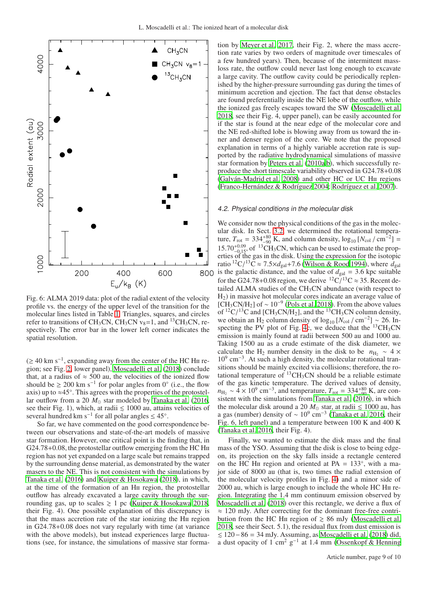<span id="page-8-0"></span>

Fig. 6: ALMA 2019 data: plot of the radial extent of the velocity profile vs. the energy of the upper level of the transition for the molecular lines listed in Table [1.](#page-2-2) Triangles, squares, and circles refer to transitions of CH<sub>3</sub>CN, CH<sub>3</sub>CN  $v_8$ =1, and <sup>13</sup>CH<sub>3</sub>CN, respectively. The error bar in the lower left corner indicates the spatial resolution.

 $(≥ 40 \text{ km s}^{-1}$ , expanding away from the center of the HC H<sub>II</sub> region; see Fig. [2,](#page-3-0) lower panel), [Moscadelli et al. \(2018](#page-9-18)) conclude that, at a radius of  $\approx$  500 au, the velocities of the ionized flow should be  $\geq 200$  km s<sup>-1</sup> for polar angles from 0° (i.e., the flow axis) up to  $\approx$ 45°. This agrees with the properties of the protostellar outflow from a 20  $M_{\odot}$  star modeled by [Tanaka et al.](#page-9-3) [\(2016,](#page-9-3) see their Fig. 1), which, at radii  $\leq 1000$  au, attains velocities of several hundred km s<sup>-1</sup> for all polar angles  $\leq 45^{\circ}$ .

So far, we have commented on the good correspondence between our observations and state-of-the-art models of massive star formation. However, one critical point is the finding that, in G24.78+0.08, the protostellar outflow emerging from the HC H<sub>II</sub> region has not yet expanded on a large scale but remains trapped by the surrounding dense material, as demonstrated by the water masers to the NE. This is not consistent with the simulations by [Tanaka et al.](#page-9-3) [\(2016\)](#page-9-3) and [Kuiper & Hosokawa](#page-9-4) [\(2018\)](#page-9-4), in which, at the time of the formation of an Hii region, the protostellar outflow has already excavated a large cavity through the surrounding gas, up to scales  $\geq 1$  pc [\(Kuiper & Hosokawa 2018,](#page-9-4) their Fig. 4). One possible explanation of this discrepancy is that the mass accretion rate of the star ionizing the Hii region in G24.78+0.08 does not vary regularly with time (at variance with the above models), but instead experiences large fluctuations (see, for instance, the simulations of massive star forma-

tion by [Meyer et al. 2017,](#page-9-46) their Fig. 2, where the mass accretion rate varies by two orders of magnitude over timescales of a few hundred years). Then, because of the intermittent massloss rate, the outflow could never last long enough to excavate a large cavity. The outflow cavity could be periodically replenished by the higher-pressure surrounding gas during the times of minimum accretion and ejection. The fact that dense obstacles are found preferentially inside the NE lobe of the outflow, while the ionized gas freely escapes toward the SW [\(Moscadelli et al.](#page-9-18) [2018,](#page-9-18) see their Fig. 4, upper panel), can be easily accounted for if the star is found at the near edge of the molecular core and the NE red-shifted lobe is blowing away from us toward the inner and denser region of the core. We note that the proposed explanation in terms of a highly variable accretion rate is supported by the radiative hydrodynamical simulations of massive star formation by [Peters et al. \(2010a](#page-9-47)[,b\)](#page-9-7), which successfully reproduce the short timescale variability observed in G24.78+0.08 [\(Galván-Madrid et al. 2008](#page-9-8)) and other HC or UC Hii regions [\(Franco-Hernández & Rodríguez 2004;](#page-9-9) [Rodríguez et al. 2007\)](#page-9-10).

#### 4.2. Physical conditions in the molecular disk

We consider now the physical conditions of the gas in the molecular disk. In Sect. [3.2,](#page-5-3) we determined the rotational temperature,  $T_{\text{rot}} = 334_{-90}^{+80}$  K, and column density,  $\log_{10} [N_{\text{col}} / \text{cm}^{-2}] =$  $15.70^{+0.09}_{-0.15}$ , of <sup>13</sup>CH<sub>3</sub>CN, which can be used to estimate the properties of the gas in the disk. Using the expression for the isotopic ratio <sup>12</sup>C/<sup>13</sup>C  $\approx$  7.5 $\times$ d<sub>gal</sub>+7.6 [\(Wilson & Rood 1994\)](#page-9-48), where  $\tilde{d}_{gal}$ 800 is the galactic distance, and the value of  $d_{gal} = 3.6$  kpc suitable for the G24.78+0.08 region, we derive  ${}^{12}C/{}^{13}C \approx 35$ . Recent detailed ALMA studies of the  $CH<sub>3</sub>CN$  abundance (with respect to  $H<sub>2</sub>$ ) in massive hot molecular cores indicate an average value of [CH<sub>3</sub>CN/H<sub>2</sub>] of ~ 10<sup>-9</sup> [\(Pols et al. 2018\)](#page-9-49). From the above values of  ${}^{12}C/{}^{13}C$  and [CH<sub>3</sub>CN/H<sub>2</sub>], and the  ${}^{13}CH_3CN$  column density, we obtain an H<sub>2</sub> column density of  $\log_{10} [N_{\text{col}} / \text{cm}^{-2}]$  ~ 26. In-specting the PV plot of Fig. [4c](#page-6-0), we deduce that the  $^{13}CH_3CN$ emission is mainly found at radii between 500 au and 1000 au. Taking 1500 au as a crude estimate of the disk diameter, we calculate the H<sub>2</sub> number density in the disk to be  $n_{\text{H}_{2}} \sim 4 \times$ 10<sup>9</sup> cm<sup>-3</sup>. At such a high density, the molecular rotational transitions should be mainly excited via collisions; therefore, the rotational temperature of  $^{13}CH_3CN$  should be a reliable estimate of the gas kinetic temperature. The derived values of density,  $n_{\text{H}_2} \sim 4 \times 10^9 \text{ cm}^{-3}$ , and temperature,  $T_{\text{rot}} = 334_{-90}^{+80} \text{ K}$ , are consistent with the simulations from Tanaka et al.  $(2\overline{016})$ , in which the molecular disk around a 20  $M_{\odot}$  star, at radii  $\leq 1000$  au, has a gas (number) density of  $\sim 10^9$  cm<sup>-3</sup> [\(Tanaka et al. 2016,](#page-9-3) their Fig. 6, left panel) and a temperature between 100 K and 400 K [\(Tanaka et al. 2016,](#page-9-3) their Fig. 4).

Finally, we wanted to estimate the disk mass and the final mass of the YSO. Assuming that the disk is close to being edgeon, its projection on the sky falls inside a rectangle centered on the  $\overline{HC}$  H<sub>II</sub> region and oriented at PA = 133 $\degree$ , with a major side of 8000 au (that is, two times the radial extension of the molecular velocity profiles in Fig. [4\)](#page-6-0) and a minor side of 2000 au, which is large enough to include the whole HC HII region. Integrating the 1.4 mm continuum emission observed by [Moscadelli et al.](#page-9-18) [\(2018\)](#page-9-18) over this rectangle, we derive a flux of  $\approx$  120 mJy. After correcting for the dominant free-free contribution from the HC H<sub>II</sub> region of  $\geq 86$  mJy [\(Moscadelli et al.](#page-9-18) [2018,](#page-9-18) see their Sect. 5.1), the residual flux from dust emission is . 120−86 = 34 mJy. Assuming, as [Moscadelli et al.](#page-9-18) [\(2018\)](#page-9-18) did, a dust opacity of  $1 \text{ cm}^2 \text{ g}^{-1}$  at 1.4 mm [\(Ossenkopf & Henning](#page-9-50)